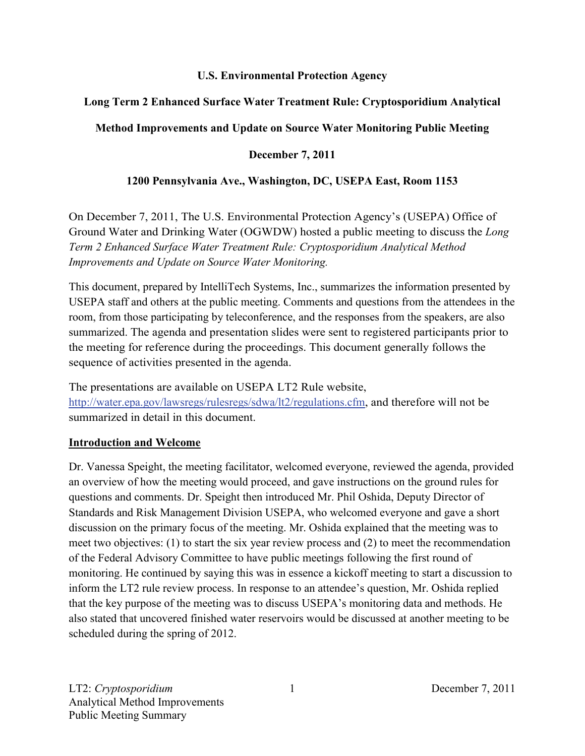#### **U.S. Environmental Protection Agency**

## **Long Term 2 Enhanced Surface Water Treatment Rule: Cryptosporidium Analytical**

## **Method Improvements and Update on Source Water Monitoring Public Meeting**

### **December 7, 2011**

### **1200 Pennsylvania Ave., Washington, DC, USEPA East, Room 1153**

On December 7, 2011, The U.S. Environmental Protection Agency's (USEPA) Office of Ground Water and Drinking Water (OGWDW) hosted a public meeting to discuss the *Long Term 2 Enhanced Surface Water Treatment Rule: Cryptosporidium Analytical Method Improvements and Update on Source Water Monitoring.* 

This document, prepared by IntelliTech Systems, Inc., summarizes the information presented by USEPA staff and others at the public meeting. Comments and questions from the attendees in the room, from those participating by teleconference, and the responses from the speakers, are also summarized. The agenda and presentation slides were sent to registered participants prior to the meeting for reference during the proceedings. This document generally follows the sequence of activities presented in the agenda.

The presentations are available on USEPA LT2 Rule website, [http://water.epa.gov/lawsregs/rulesregs/sdwa/lt2/regulations.cfm,](http://water.epa.gov/lawsregs/rulesregs/sdwa/lt2/regulations.cfm) and therefore will not be summarized in detail in this document.

### **Introduction and Welcome**

Dr. Vanessa Speight, the meeting facilitator, welcomed everyone, reviewed the agenda, provided an overview of how the meeting would proceed, and gave instructions on the ground rules for questions and comments. Dr. Speight then introduced Mr. Phil Oshida, Deputy Director of Standards and Risk Management Division USEPA, who welcomed everyone and gave a short discussion on the primary focus of the meeting. Mr. Oshida explained that the meeting was to meet two objectives: (1) to start the six year review process and (2) to meet the recommendation of the Federal Advisory Committee to have public meetings following the first round of monitoring. He continued by saying this was in essence a kickoff meeting to start a discussion to inform the LT2 rule review process. In response to an attendee's question, Mr. Oshida replied that the key purpose of the meeting was to discuss USEPA's monitoring data and methods. He also stated that uncovered finished water reservoirs would be discussed at another meeting to be scheduled during the spring of 2012.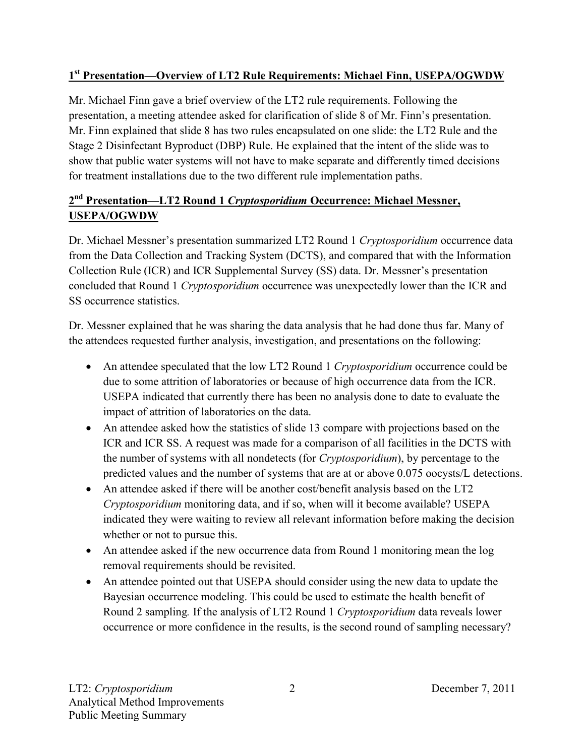## **1st Presentation—Overview of LT2 Rule Requirements: Michael Finn, USEPA/OGWDW**

Mr. Michael Finn gave a brief overview of the LT2 rule requirements. Following the presentation, a meeting attendee asked for clarification of slide 8 of Mr. Finn's presentation. Mr. Finn explained that slide 8 has two rules encapsulated on one slide: the LT2 Rule and the Stage 2 Disinfectant Byproduct (DBP) Rule. He explained that the intent of the slide was to show that public water systems will not have to make separate and differently timed decisions for treatment installations due to the two different rule implementation paths.

# **2nd Presentation—LT2 Round 1** *Cryptosporidium* **Occurrence: Michael Messner, USEPA/OGWDW**

Dr. Michael Messner's presentation summarized LT2 Round 1 *Cryptosporidium* occurrence data from the Data Collection and Tracking System (DCTS), and compared that with the Information Collection Rule (ICR) and ICR Supplemental Survey (SS) data. Dr. Messner's presentation concluded that Round 1 *Cryptosporidium* occurrence was unexpectedly lower than the ICR and SS occurrence statistics.

Dr. Messner explained that he was sharing the data analysis that he had done thus far. Many of the attendees requested further analysis, investigation, and presentations on the following:

- An attendee speculated that the low LT2 Round 1 *Cryptosporidium* occurrence could be due to some attrition of laboratories or because of high occurrence data from the ICR. USEPA indicated that currently there has been no analysis done to date to evaluate the impact of attrition of laboratories on the data.
- An attendee asked how the statistics of slide 13 compare with projections based on the ICR and ICR SS. A request was made for a comparison of all facilities in the DCTS with the number of systems with all nondetects (for *Cryptosporidium*), by percentage to the predicted values and the number of systems that are at or above 0.075 oocysts/L detections.
- An attendee asked if there will be another cost/benefit analysis based on the LT2 *Cryptosporidium* monitoring data, and if so, when will it become available? USEPA indicated they were waiting to review all relevant information before making the decision whether or not to pursue this.
- An attendee asked if the new occurrence data from Round 1 monitoring mean the log removal requirements should be revisited.
- An attendee pointed out that USEPA should consider using the new data to update the Bayesian occurrence modeling. This could be used to estimate the health benefit of Round 2 sampling*.* If the analysis of LT2 Round 1 *Cryptosporidium* data reveals lower occurrence or more confidence in the results, is the second round of sampling necessary?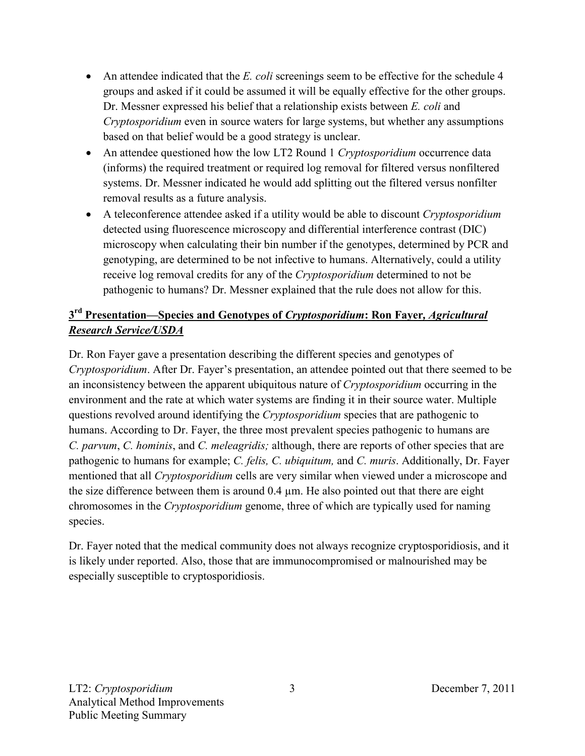- An attendee indicated that the *E. coli* screenings seem to be effective for the schedule 4 groups and asked if it could be assumed it will be equally effective for the other groups. Dr. Messner expressed his belief that a relationship exists between *E. coli* and *Cryptosporidium* even in source waters for large systems, but whether any assumptions based on that belief would be a good strategy is unclear.
- An attendee questioned how the low LT2 Round 1 *Cryptosporidium* occurrence data (informs) the required treatment or required log removal for filtered versus nonfiltered systems. Dr. Messner indicated he would add splitting out the filtered versus nonfilter removal results as a future analysis.
- A teleconference attendee asked if a utility would be able to discount *Cryptosporidium*  detected using fluorescence microscopy and differential interference contrast (DIC) microscopy when calculating their bin number if the genotypes, determined by PCR and genotyping, are determined to be not infective to humans. Alternatively, could a utility receive log removal credits for any of the *Cryptosporidium* determined to not be pathogenic to humans? Dr. Messner explained that the rule does not allow for this.

## **3rd Presentation—Species and Genotypes of** *Cryptosporidium***: Ron Fayer***, Agricultural Research Service/USDA*

Dr. Ron Fayer gave a presentation describing the different species and genotypes of *Cryptosporidium*. After Dr. Fayer's presentation, an attendee pointed out that there seemed to be an inconsistency between the apparent ubiquitous nature of *Cryptosporidium* occurring in the environment and the rate at which water systems are finding it in their source water. Multiple questions revolved around identifying the *Cryptosporidium* species that are pathogenic to humans. According to Dr. Fayer, the three most prevalent species pathogenic to humans are *C. parvum*, *C. hominis*, and *C. meleagridis;* although, there are reports of other species that are pathogenic to humans for example; *C. felis, C. ubiquitum,* and *C. muris*. Additionally, Dr. Fayer mentioned that all *Cryptosporidium* cells are very similar when viewed under a microscope and the size difference between them is around  $0.4 \mu m$ . He also pointed out that there are eight chromosomes in the *Cryptosporidium* genome, three of which are typically used for naming species.

Dr. Fayer noted that the medical community does not always recognize cryptosporidiosis, and it is likely under reported. Also, those that are immunocompromised or malnourished may be especially susceptible to cryptosporidiosis.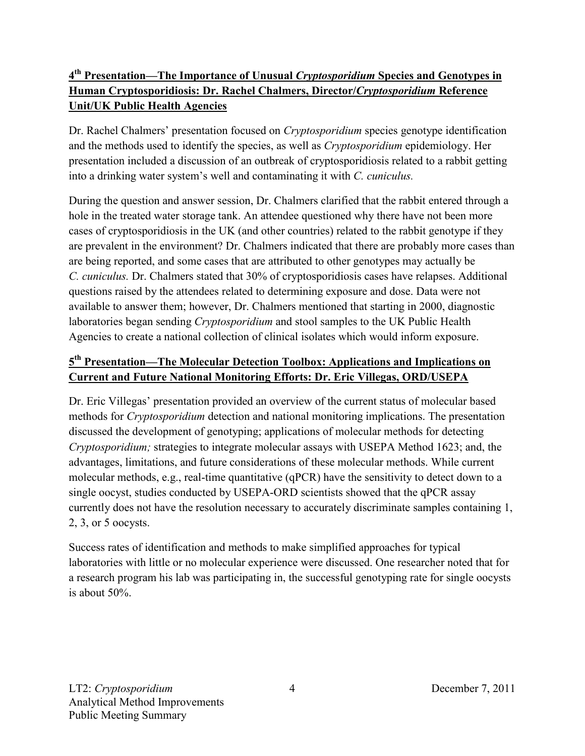## **4th Presentation—The Importance of Unusual** *Cryptosporidium* **Species and Genotypes in Human Cryptosporidiosis: Dr. Rachel Chalmers, Director/***Cryptosporidium* **Reference Unit/UK Public Health Agencies**

Dr. Rachel Chalmers' presentation focused on *Cryptosporidium* species genotype identification and the methods used to identify the species, as well as *Cryptosporidium* epidemiology. Her presentation included a discussion of an outbreak of cryptosporidiosis related to a rabbit getting into a drinking water system's well and contaminating it with *C. cuniculus.* 

During the question and answer session, Dr. Chalmers clarified that the rabbit entered through a hole in the treated water storage tank. An attendee questioned why there have not been more cases of cryptosporidiosis in the UK (and other countries) related to the rabbit genotype if they are prevalent in the environment? Dr. Chalmers indicated that there are probably more cases than are being reported, and some cases that are attributed to other genotypes may actually be *C. cuniculus.* Dr. Chalmers stated that 30% of cryptosporidiosis cases have relapses. Additional questions raised by the attendees related to determining exposure and dose. Data were not available to answer them; however, Dr. Chalmers mentioned that starting in 2000, diagnostic laboratories began sending *Cryptosporidium* and stool samples to the UK Public Health Agencies to create a national collection of clinical isolates which would inform exposure.

### **5th Presentation—The Molecular Detection Toolbox: Applications and Implications on Current and Future National Monitoring Efforts: Dr. Eric Villegas, ORD/USEPA**

Dr. Eric Villegas' presentation provided an overview of the current status of molecular based methods for *Cryptosporidium* detection and national monitoring implications. The presentation discussed the development of genotyping; applications of molecular methods for detecting *Cryptosporidium;* strategies to integrate molecular assays with USEPA Method 1623; and, the advantages, limitations, and future considerations of these molecular methods. While current molecular methods, e.g., real-time quantitative (qPCR) have the sensitivity to detect down to a single oocyst, studies conducted by USEPA-ORD scientists showed that the qPCR assay currently does not have the resolution necessary to accurately discriminate samples containing 1, 2, 3, or 5 oocysts.

Success rates of identification and methods to make simplified approaches for typical laboratories with little or no molecular experience were discussed. One researcher noted that for a research program his lab was participating in, the successful genotyping rate for single oocysts is about 50%.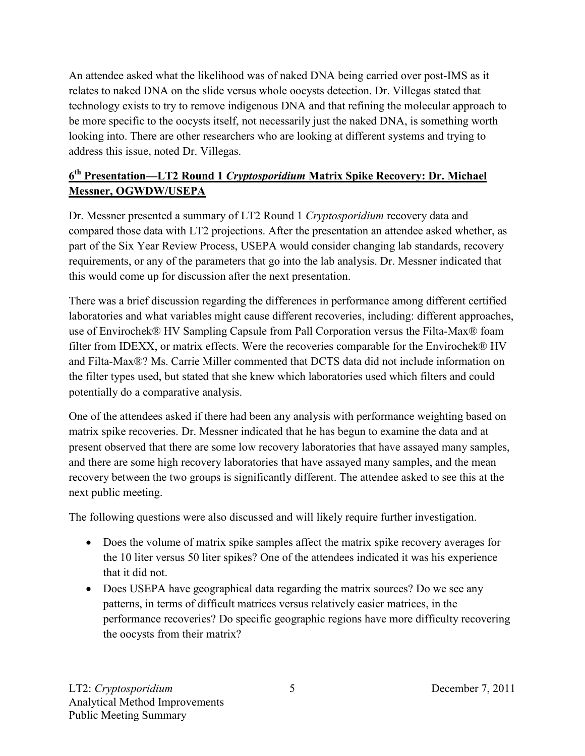An attendee asked what the likelihood was of naked DNA being carried over post-IMS as it relates to naked DNA on the slide versus whole oocysts detection. Dr. Villegas stated that technology exists to try to remove indigenous DNA and that refining the molecular approach to be more specific to the oocysts itself, not necessarily just the naked DNA, is something worth looking into. There are other researchers who are looking at different systems and trying to address this issue, noted Dr. Villegas.

## **6th Presentation—LT2 Round 1** *Cryptosporidium* **Matrix Spike Recovery: Dr. Michael Messner, OGWDW/USEPA**

Dr. Messner presented a summary of LT2 Round 1 *Cryptosporidium* recovery data and compared those data with LT2 projections. After the presentation an attendee asked whether, as part of the Six Year Review Process, USEPA would consider changing lab standards, recovery requirements, or any of the parameters that go into the lab analysis. Dr. Messner indicated that this would come up for discussion after the next presentation.

There was a brief discussion regarding the differences in performance among different certified laboratories and what variables might cause different recoveries, including: different approaches, use of Envirochek® HV Sampling Capsule from Pall Corporation versus the Filta-Max® foam filter from IDEXX, or matrix effects. Were the recoveries comparable for the Envirochek® HV and Filta-Max®? Ms. Carrie Miller commented that DCTS data did not include information on the filter types used, but stated that she knew which laboratories used which filters and could potentially do a comparative analysis.

One of the attendees asked if there had been any analysis with performance weighting based on matrix spike recoveries. Dr. Messner indicated that he has begun to examine the data and at present observed that there are some low recovery laboratories that have assayed many samples, and there are some high recovery laboratories that have assayed many samples, and the mean recovery between the two groups is significantly different. The attendee asked to see this at the next public meeting.

The following questions were also discussed and will likely require further investigation.

- Does the volume of matrix spike samples affect the matrix spike recovery averages for the 10 liter versus 50 liter spikes? One of the attendees indicated it was his experience that it did not.
- Does USEPA have geographical data regarding the matrix sources? Do we see any patterns, in terms of difficult matrices versus relatively easier matrices, in the performance recoveries? Do specific geographic regions have more difficulty recovering the oocysts from their matrix?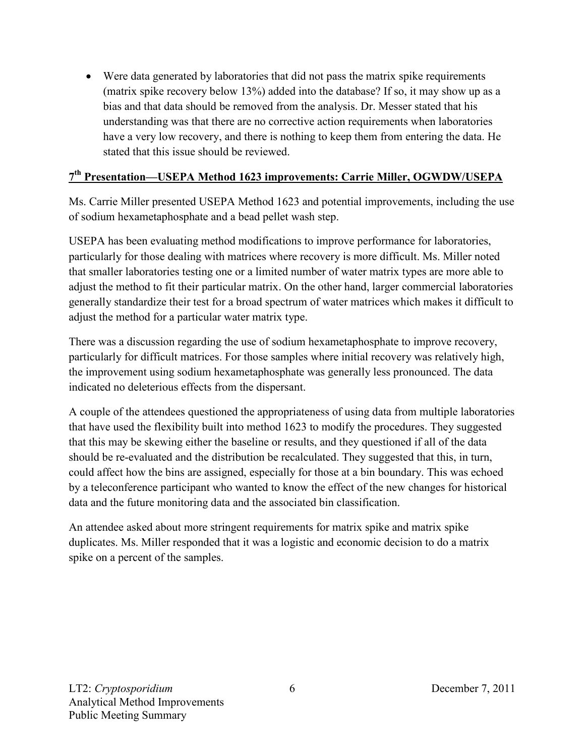• Were data generated by laboratories that did not pass the matrix spike requirements (matrix spike recovery below 13%) added into the database? If so, it may show up as a bias and that data should be removed from the analysis. Dr. Messer stated that his understanding was that there are no corrective action requirements when laboratories have a very low recovery, and there is nothing to keep them from entering the data. He stated that this issue should be reviewed.

### **7th Presentation—USEPA Method 1623 improvements: Carrie Miller, OGWDW/USEPA**

Ms. Carrie Miller presented USEPA Method 1623 and potential improvements, including the use of sodium hexametaphosphate and a bead pellet wash step.

USEPA has been evaluating method modifications to improve performance for laboratories, particularly for those dealing with matrices where recovery is more difficult. Ms. Miller noted that smaller laboratories testing one or a limited number of water matrix types are more able to adjust the method to fit their particular matrix. On the other hand, larger commercial laboratories generally standardize their test for a broad spectrum of water matrices which makes it difficult to adjust the method for a particular water matrix type.

There was a discussion regarding the use of sodium hexametaphosphate to improve recovery, particularly for difficult matrices. For those samples where initial recovery was relatively high, the improvement using sodium hexametaphosphate was generally less pronounced. The data indicated no deleterious effects from the dispersant.

A couple of the attendees questioned the appropriateness of using data from multiple laboratories that have used the flexibility built into method 1623 to modify the procedures. They suggested that this may be skewing either the baseline or results, and they questioned if all of the data should be re-evaluated and the distribution be recalculated. They suggested that this, in turn, could affect how the bins are assigned, especially for those at a bin boundary. This was echoed by a teleconference participant who wanted to know the effect of the new changes for historical data and the future monitoring data and the associated bin classification.

An attendee asked about more stringent requirements for matrix spike and matrix spike duplicates. Ms. Miller responded that it was a logistic and economic decision to do a matrix spike on a percent of the samples.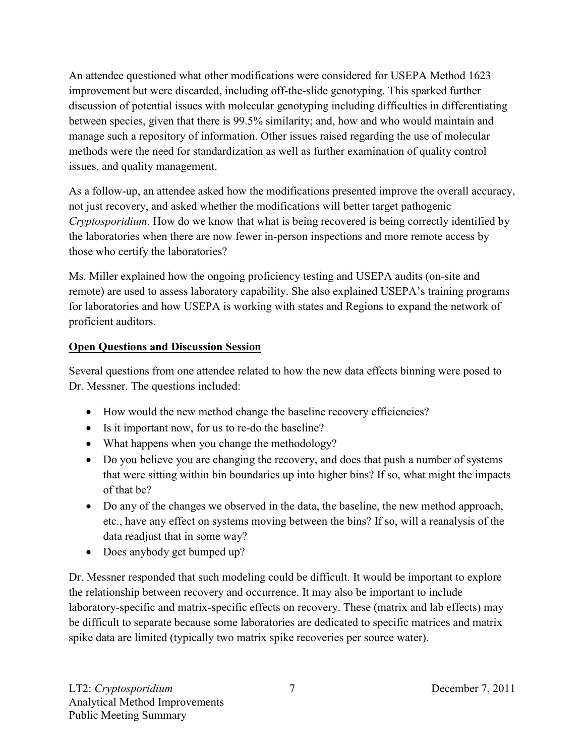An attendee questioned what other modifications were considered for USEPA Method 1623 improvement but were discarded, including off-the-slide genotyping. This sparked further discussion of potential issues with molecular genotyping including difficulties in differentiating between species, given that there is 99.5% similarity; and, how and who would maintain and manage such a repository of information. Other issues raised regarding the use of molecular methods were the need for standardization as well as further examination of quality control issues, and quality management.

As a follow-up, an attendee asked how the modifications presented improve the overall accuracy, not just recovery, and asked whether the modifications will better target pathogenic *Cryptosporidium*. How do we know that what is being recovered is being correctly identified by the laboratories when there are now fewer in-person inspections and more remote access by those who certify the laboratories?

Ms. Miller explained how the ongoing proficiency testing and USEPA audits (on-site and remote) are used to assess laboratory capability. She also explained USEPA's training programs for laboratories and how USEPA is working with states and Regions to expand the network of proficient auditors.

## **Open Questions and Discussion Session**

Several questions from one attendee related to how the new data effects binning were posed to Dr. Messner. The questions included:

- How would the new method change the baseline recovery efficiencies?
- Is it important now, for us to re-do the baseline?
- What happens when you change the methodology?
- Do you believe you are changing the recovery, and does that push a number of systems that were sitting within bin boundaries up into higher bins? If so, what might the impacts of that be?
- Do any of the changes we observed in the data, the baseline, the new method approach, etc., have any effect on systems moving between the bins? If so, will a reanalysis of the data readjust that in some way?
- Does anybody get bumped up?

Dr. Messner responded that such modeling could be difficult. It would be important to explore the relationship between recovery and occurrence. It may also be important to include laboratory-specific and matrix-specific effects on recovery. These (matrix and lab effects) may be difficult to separate because some laboratories are dedicated to specific matrices and matrix spike data are limited (typically two matrix spike recoveries per source water).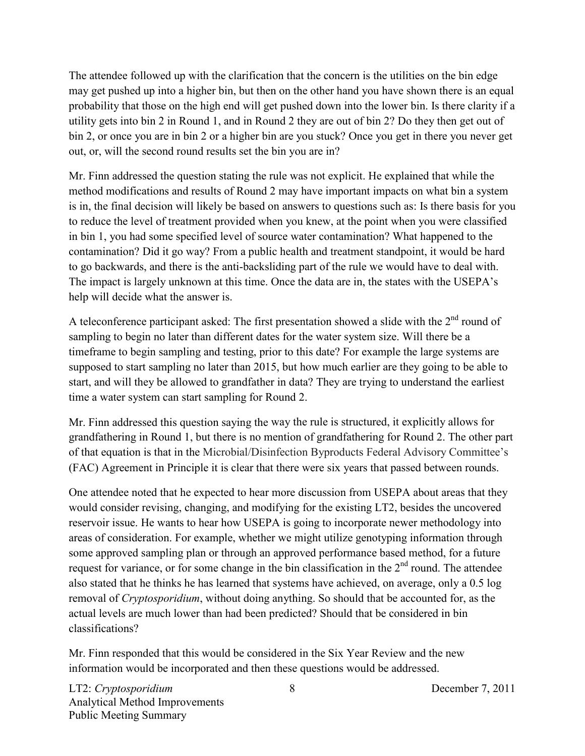The attendee followed up with the clarification that the concern is the utilities on the bin edge may get pushed up into a higher bin, but then on the other hand you have shown there is an equal probability that those on the high end will get pushed down into the lower bin. Is there clarity if a utility gets into bin 2 in Round 1, and in Round 2 they are out of bin 2? Do they then get out of bin 2, or once you are in bin 2 or a higher bin are you stuck? Once you get in there you never get out, or, will the second round results set the bin you are in?

Mr. Finn addressed the question stating the rule was not explicit. He explained that while the method modifications and results of Round 2 may have important impacts on what bin a system is in, the final decision will likely be based on answers to questions such as: Is there basis for you to reduce the level of treatment provided when you knew, at the point when you were classified in bin 1, you had some specified level of source water contamination? What happened to the contamination? Did it go way? From a public health and treatment standpoint, it would be hard to go backwards, and there is the anti-backsliding part of the rule we would have to deal with. The impact is largely unknown at this time. Once the data are in, the states with the USEPA's help will decide what the answer is.

A teleconference participant asked: The first presentation showed a slide with the  $2<sup>nd</sup>$  round of sampling to begin no later than different dates for the water system size. Will there be a timeframe to begin sampling and testing, prior to this date? For example the large systems are supposed to start sampling no later than 2015, but how much earlier are they going to be able to start, and will they be allowed to grandfather in data? They are trying to understand the earliest time a water system can start sampling for Round 2.

Mr. Finn addressed this question saying the way the rule is structured, it explicitly allows for grandfathering in Round 1, but there is no mention of grandfathering for Round 2. The other part of that equation is that in the Microbial/Disinfection Byproducts Federal Advisory Committee's (FAC) Agreement in Principle it is clear that there were six years that passed between rounds.

One attendee noted that he expected to hear more discussion from USEPA about areas that they would consider revising, changing, and modifying for the existing LT2, besides the uncovered reservoir issue. He wants to hear how USEPA is going to incorporate newer methodology into areas of consideration. For example, whether we might utilize genotyping information through some approved sampling plan or through an approved performance based method, for a future request for variance, or for some change in the bin classification in the  $2<sup>nd</sup>$  round. The attendee also stated that he thinks he has learned that systems have achieved, on average, only a 0.5 log removal of *Cryptosporidium*, without doing anything. So should that be accounted for, as the actual levels are much lower than had been predicted? Should that be considered in bin classifications?

Mr. Finn responded that this would be considered in the Six Year Review and the new information would be incorporated and then these questions would be addressed.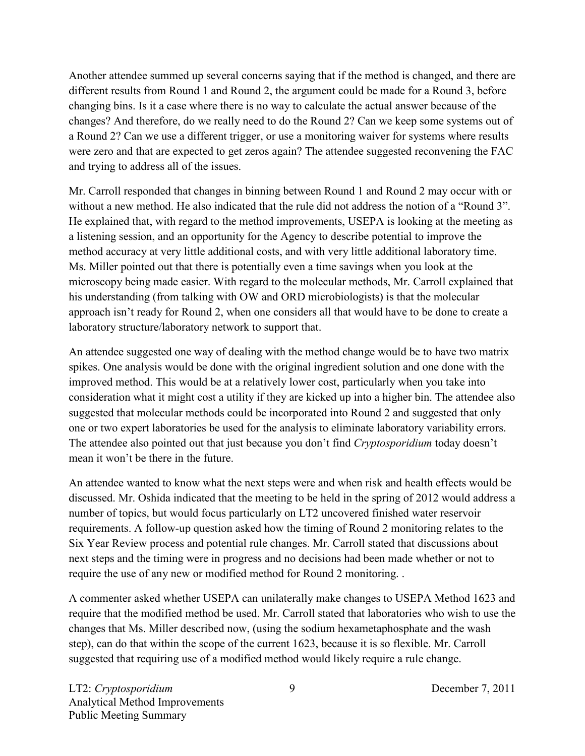Another attendee summed up several concerns saying that if the method is changed, and there are different results from Round 1 and Round 2, the argument could be made for a Round 3, before changing bins. Is it a case where there is no way to calculate the actual answer because of the changes? And therefore, do we really need to do the Round 2? Can we keep some systems out of a Round 2? Can we use a different trigger, or use a monitoring waiver for systems where results were zero and that are expected to get zeros again? The attendee suggested reconvening the FAC and trying to address all of the issues.

Mr. Carroll responded that changes in binning between Round 1 and Round 2 may occur with or without a new method. He also indicated that the rule did not address the notion of a "Round 3". He explained that, with regard to the method improvements, USEPA is looking at the meeting as a listening session, and an opportunity for the Agency to describe potential to improve the method accuracy at very little additional costs, and with very little additional laboratory time. Ms. Miller pointed out that there is potentially even a time savings when you look at the microscopy being made easier. With regard to the molecular methods, Mr. Carroll explained that his understanding (from talking with OW and ORD microbiologists) is that the molecular approach isn't ready for Round 2, when one considers all that would have to be done to create a laboratory structure/laboratory network to support that.

An attendee suggested one way of dealing with the method change would be to have two matrix spikes. One analysis would be done with the original ingredient solution and one done with the improved method. This would be at a relatively lower cost, particularly when you take into consideration what it might cost a utility if they are kicked up into a higher bin. The attendee also suggested that molecular methods could be incorporated into Round 2 and suggested that only one or two expert laboratories be used for the analysis to eliminate laboratory variability errors. The attendee also pointed out that just because you don't find *Cryptosporidium* today doesn't mean it won't be there in the future.

An attendee wanted to know what the next steps were and when risk and health effects would be discussed. Mr. Oshida indicated that the meeting to be held in the spring of 2012 would address a number of topics, but would focus particularly on LT2 uncovered finished water reservoir requirements. A follow-up question asked how the timing of Round 2 monitoring relates to the Six Year Review process and potential rule changes. Mr. Carroll stated that discussions about next steps and the timing were in progress and no decisions had been made whether or not to require the use of any new or modified method for Round 2 monitoring. .

A commenter asked whether USEPA can unilaterally make changes to USEPA Method 1623 and require that the modified method be used. Mr. Carroll stated that laboratories who wish to use the changes that Ms. Miller described now, (using the sodium hexametaphosphate and the wash step), can do that within the scope of the current 1623, because it is so flexible. Mr. Carroll suggested that requiring use of a modified method would likely require a rule change.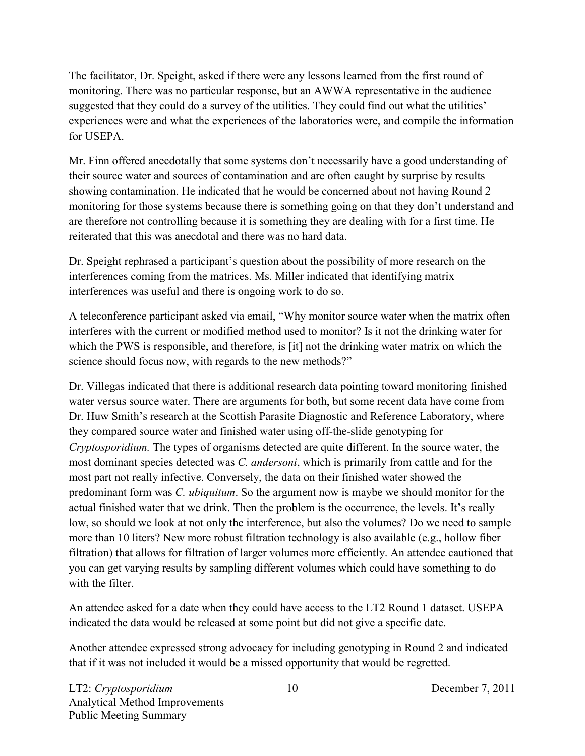The facilitator, Dr. Speight, asked if there were any lessons learned from the first round of monitoring. There was no particular response, but an AWWA representative in the audience suggested that they could do a survey of the utilities. They could find out what the utilities' experiences were and what the experiences of the laboratories were, and compile the information for USEPA.

Mr. Finn offered anecdotally that some systems don't necessarily have a good understanding of their source water and sources of contamination and are often caught by surprise by results showing contamination. He indicated that he would be concerned about not having Round 2 monitoring for those systems because there is something going on that they don't understand and are therefore not controlling because it is something they are dealing with for a first time. He reiterated that this was anecdotal and there was no hard data.

Dr. Speight rephrased a participant's question about the possibility of more research on the interferences coming from the matrices. Ms. Miller indicated that identifying matrix interferences was useful and there is ongoing work to do so.

A teleconference participant asked via email, "Why monitor source water when the matrix often interferes with the current or modified method used to monitor? Is it not the drinking water for which the PWS is responsible, and therefore, is [it] not the drinking water matrix on which the science should focus now, with regards to the new methods?"

Dr. Villegas indicated that there is additional research data pointing toward monitoring finished water versus source water. There are arguments for both, but some recent data have come from Dr. Huw Smith's research at the Scottish Parasite Diagnostic and Reference Laboratory, where they compared source water and finished water using off-the-slide genotyping for *Cryptosporidium.* The types of organisms detected are quite different. In the source water, the most dominant species detected was *C. andersoni*, which is primarily from cattle and for the most part not really infective. Conversely, the data on their finished water showed the predominant form was *C. ubiquitum*. So the argument now is maybe we should monitor for the actual finished water that we drink. Then the problem is the occurrence, the levels. It's really low, so should we look at not only the interference, but also the volumes? Do we need to sample more than 10 liters? New more robust filtration technology is also available (e.g., hollow fiber filtration) that allows for filtration of larger volumes more efficiently. An attendee cautioned that you can get varying results by sampling different volumes which could have something to do with the filter

An attendee asked for a date when they could have access to the LT2 Round 1 dataset. USEPA indicated the data would be released at some point but did not give a specific date.

Another attendee expressed strong advocacy for including genotyping in Round 2 and indicated that if it was not included it would be a missed opportunity that would be regretted.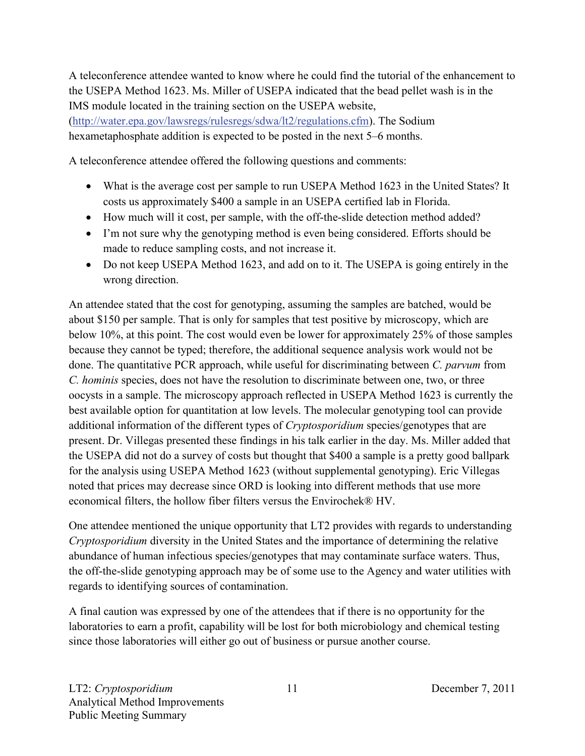A teleconference attendee wanted to know where he could find the tutorial of the enhancement to the USEPA Method 1623. Ms. Miller of USEPA indicated that the bead pellet wash is in the IMS module located in the training section on the USEPA website,

[\(http://water.epa.gov/lawsregs/rulesregs/sdwa/lt2/regulations.cfm\)](http://water.epa.gov/lawsregs/rulesregs/sdwa/lt2/regulations.cfm). The Sodium hexametaphosphate addition is expected to be posted in the next 5–6 months.

A teleconference attendee offered the following questions and comments:

- What is the average cost per sample to run USEPA Method 1623 in the United States? It costs us approximately \$400 a sample in an USEPA certified lab in Florida.
- How much will it cost, per sample, with the off-the-slide detection method added?
- I'm not sure why the genotyping method is even being considered. Efforts should be made to reduce sampling costs, and not increase it.
- Do not keep USEPA Method 1623, and add on to it. The USEPA is going entirely in the wrong direction.

An attendee stated that the cost for genotyping, assuming the samples are batched, would be about \$150 per sample. That is only for samples that test positive by microscopy, which are below 10%, at this point. The cost would even be lower for approximately 25% of those samples because they cannot be typed; therefore, the additional sequence analysis work would not be done. The quantitative PCR approach, while useful for discriminating between *C. parvum* from *C. hominis* species, does not have the resolution to discriminate between one, two, or three oocysts in a sample. The microscopy approach reflected in USEPA Method 1623 is currently the best available option for quantitation at low levels. The molecular genotyping tool can provide additional information of the different types of *Cryptosporidium* species/genotypes that are present. Dr. Villegas presented these findings in his talk earlier in the day. Ms. Miller added that the USEPA did not do a survey of costs but thought that \$400 a sample is a pretty good ballpark for the analysis using USEPA Method 1623 (without supplemental genotyping). Eric Villegas noted that prices may decrease since ORD is looking into different methods that use more economical filters, the hollow fiber filters versus the Envirochek® HV.

One attendee mentioned the unique opportunity that LT2 provides with regards to understanding *Cryptosporidium* diversity in the United States and the importance of determining the relative abundance of human infectious species/genotypes that may contaminate surface waters. Thus, the off-the-slide genotyping approach may be of some use to the Agency and water utilities with regards to identifying sources of contamination.

A final caution was expressed by one of the attendees that if there is no opportunity for the laboratories to earn a profit, capability will be lost for both microbiology and chemical testing since those laboratories will either go out of business or pursue another course.